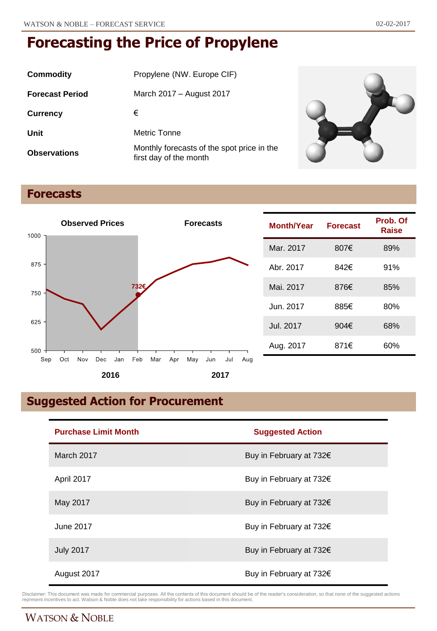| Commodity              | Propylene (NW. Europe CIF)                                           |
|------------------------|----------------------------------------------------------------------|
| <b>Forecast Period</b> | March 2017 – August 2017                                             |
| <b>Currency</b>        | €                                                                    |
| Unit                   | Metric Tonne                                                         |
| <b>Observations</b>    | Monthly forecasts of the spot price in the<br>first day of the month |



## **Forecasts**



| Month/Year | <b>Forecast</b> | Prob. Of<br>Raise |
|------------|-----------------|-------------------|
| Mar. 2017  | 807€            | 89%               |
| Abr. 2017  | 842€            | 91%               |
| Mai. 2017  | 876€            | 85%               |
| Jun. 2017  | 885€            | 80%               |
| Jul. 2017  | 904 $\epsilon$  | 68%               |
| Aug. 2017  | 871€            | 60%               |

## **Suggested Action for Procurement**

| <b>Purchase Limit Month</b> | <b>Suggested Action</b> |  |
|-----------------------------|-------------------------|--|
| March 2017                  | Buy in February at 732€ |  |
| April 2017                  | Buy in February at 732€ |  |
| May 2017                    | Buy in February at 732€ |  |
| June 2017                   | Buy in February at 732€ |  |
| <b>July 2017</b>            | Buy in February at 732€ |  |
| August 2017                 | Buy in February at 732€ |  |

Disclaimer: This document was made for commercial purposes. All the contents of this document should be of the reader's consideration, so that none of the suggested actions<br>represent incentives to act. Watson & Noble does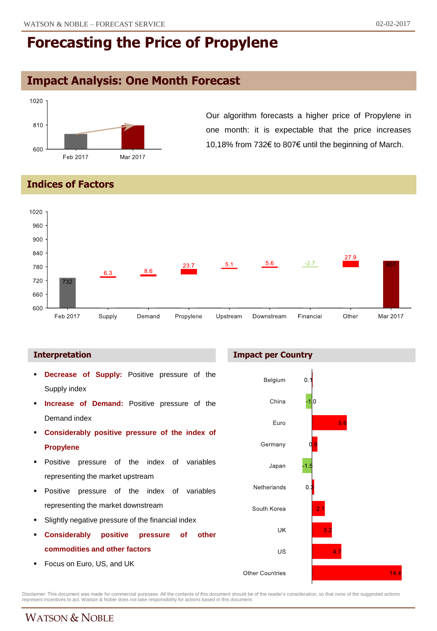## **Impact Analysis: One Month Forecast**



Our algorithm forecasts a higher price of Propylene in one month: it is expectable that the price increases 10,18% from 732€ to 807€ until the beginning of March.

**Indices of Factors**



#### **Interpretation**

- **Decrease of Supply:** Positive pressure of the Supply index
- **Increase of Demand:** Positive pressure of the Demand index
- **Considerably positive pressure of the index of Propylene**
- Positive pressure of the index of variables representing the market upstream
- **Positive pressure of the index of variables** representing the market downstream
- Slightly negative pressure of the financial index
- **Considerably positive pressure of other commodities and other factors**
- **Focus on Euro, US, and UK**





Disclaimer: This document was made for commercial purposes. All the contents of this document should be of the reader's consideration, so that none of the suggested actions<br>represent incentives to act. Watson & Noble does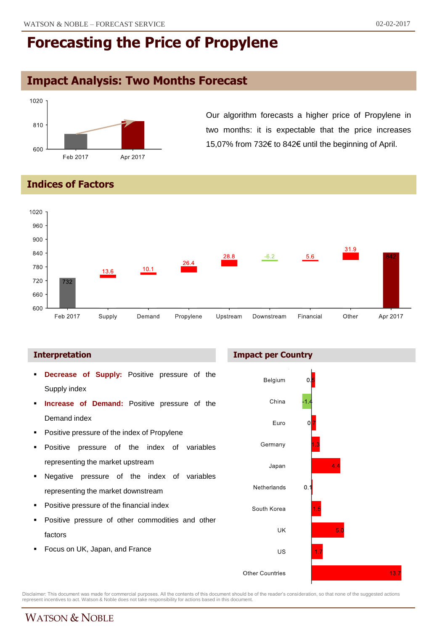## **Impact Analysis: Two Months Forecast**



Our algorithm forecasts a higher price of Propylene in two months: it is expectable that the price increases 15,07% from 732€ to 842€ until the beginning of April.

**Indices of Factors**



#### **Interpretation Impact per Country**

- **Decrease of Supply:** Positive pressure of the Supply index
- **Increase of Demand:** Positive pressure of the Demand index
- Positive pressure of the index of Propylene
- Positive pressure of the index of variables representing the market upstream
- Negative pressure of the index of variables representing the market downstream
- Positive pressure of the financial index
- Positive pressure of other commodities and other factors
- Focus on UK, Japan, and France



Disclaimer: This document was made for commercial purposes. All the contents of this document should be of the reader's consideration, so that none of the suggested actions<br>represent incentives to act. Watson & Noble does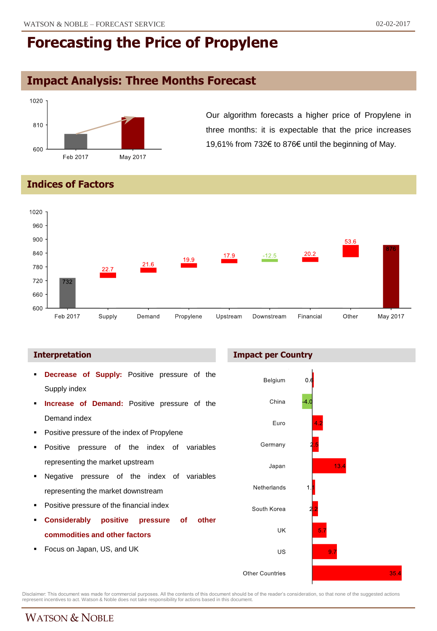## **Impact Analysis: Three Months Forecast**



Our algorithm forecasts a higher price of Propylene in three months: it is expectable that the price increases 19,61% from 732€ to 876€ until the beginning of May.

#### **Indices of Factors**



#### **Interpretation Impact per Country**

- **Decrease of Supply:** Positive pressure of the Supply index
- **Increase of Demand:** Positive pressure of the Demand index
- Positive pressure of the index of Propylene
- Positive pressure of the index of variables representing the market upstream
- Negative pressure of the index of variables representing the market downstream
- Positive pressure of the financial index
- **Considerably positive pressure of other commodities and other factors**
- Focus on Japan, US, and UK



Disclaimer: This document was made for commercial purposes. All the contents of this document should be of the reader's consideration, so that none of the suggested actions<br>represent incentives to act. Watson & Noble does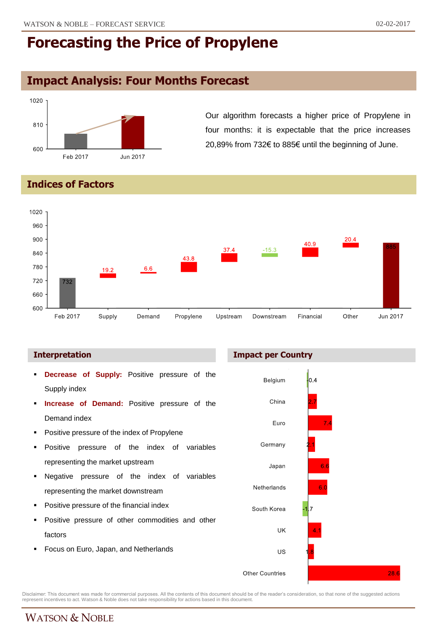## **Impact Analysis: Four Months Forecast**



Our algorithm forecasts a higher price of Propylene in four months: it is expectable that the price increases 20,89% from 732€ to 885€ until the beginning of June.

**Indices of Factors**



- **Decrease of Supply:** Positive pressure of the Supply index
- **Increase of Demand:** Positive pressure of the Demand index
- Positive pressure of the index of Propylene
- Positive pressure of the index of variables representing the market upstream
- Negative pressure of the index of variables representing the market downstream
- Positive pressure of the financial index
- Positive pressure of other commodities and other factors
- Focus on Euro, Japan, and Netherlands

**Interpretation Impact per Country**



Disclaimer: This document was made for commercial purposes. All the contents of this document should be of the reader's consideration, so that none of the suggested actions<br>represent incentives to act. Watson & Noble does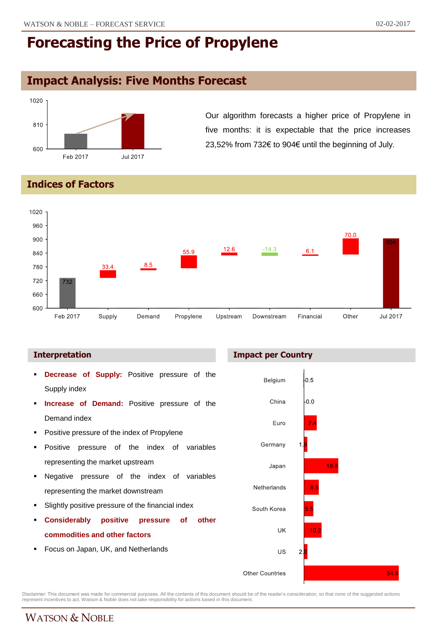## **Impact Analysis: Five Months Forecast**



Our algorithm forecasts a higher price of Propylene in five months: it is expectable that the price increases 23,52% from 732€ to 904€ until the beginning of July.

**Indices of Factors**



- **Decrease of Supply:** Positive pressure of the Supply index
- **Increase of Demand:** Positive pressure of the Demand index
- Positive pressure of the index of Propylene
- Positive pressure of the index of variables representing the market upstream
- Negative pressure of the index of variables representing the market downstream
- Slightly positive pressure of the financial index
- **Considerably positive pressure of other commodities and other factors**
- Focus on Japan, UK, and Netherlands





Disclaimer: This document was made for commercial purposes. All the contents of this document should be of the reader's consideration, so that none of the suggested actions<br>represent incentives to act. Watson & Noble does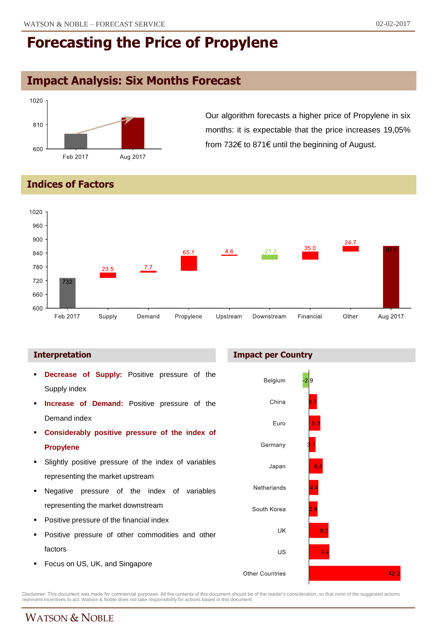## **Impact Analysis: Six Months Forecast**



Our algorithm forecasts a higher price of Propylene in six months: it is expectable that the price increases 19,05% from 732€ to 871€ until the beginning of August.

#### **Indices of Factors**



#### **Interpretation Impact per Country**

 **Decrease of Supply:** Positive pressure of the Belgium Supply index China **Increase of Demand:** Positive pressure of the Demand index Euro **Considerably positive pressure of the index of** Germany **Propylene** Slightly positive pressure of the index of variables Japan representing the market upstream Netherlands Negative pressure of the index of variables representing the market downstream South Korea Positive pressure of the financial index UK Positive pressure of other commodities and other factors US  $\overline{9}$  Focus on US, UK, and Singapore 42.2 **Other Countries** 

Disclaimer: This document was made for commercial purposes. All the contents of this document should be of the reader's consideration, so that none of the suggested actions<br>represent incentives to act. Watson & Noble does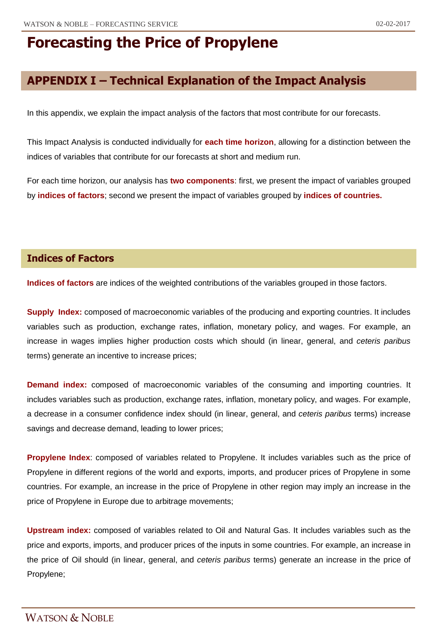## **APPENDIX I – Technical Explanation of the Impact Analysis**

In this appendix, we explain the impact analysis of the factors that most contribute for our forecasts.

This Impact Analysis is conducted individually for **each time horizon**, allowing for a distinction between the indices of variables that contribute for our forecasts at short and medium run.

For each time horizon, our analysis has **two components**: first, we present the impact of variables grouped by **indices of factors**; second we present the impact of variables grouped by **indices of countries.**

#### **Indices of Factors**

**Indices of factors** are indices of the weighted contributions of the variables grouped in those factors.

**Supply Index:** composed of macroeconomic variables of the producing and exporting countries. It includes variables such as production, exchange rates, inflation, monetary policy, and wages. For example, an increase in wages implies higher production costs which should (in linear, general, and *ceteris paribus* terms) generate an incentive to increase prices;

**Demand index:** composed of macroeconomic variables of the consuming and importing countries. It includes variables such as production, exchange rates, inflation, monetary policy, and wages. For example, a decrease in a consumer confidence index should (in linear, general, and *ceteris paribus* terms) increase savings and decrease demand, leading to lower prices;

**Propylene Index**: composed of variables related to Propylene. It includes variables such as the price of Propylene in different regions of the world and exports, imports, and producer prices of Propylene in some countries. For example, an increase in the price of Propylene in other region may imply an increase in the price of Propylene in Europe due to arbitrage movements;

**Upstream index:** composed of variables related to Oil and Natural Gas. It includes variables such as the price and exports, imports, and producer prices of the inputs in some countries. For example, an increase in the price of Oil should (in linear, general, and *ceteris paribus* terms) generate an increase in the price of Propylene;